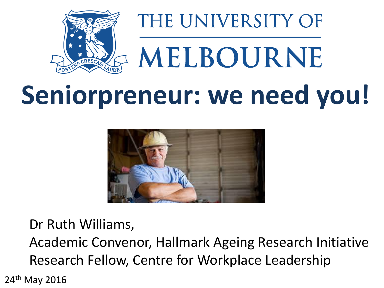

# **Seniorpreneur: we need you!**



Dr Ruth Williams,

Academic Convenor, Hallmark Ageing Research Initiative Research Fellow, Centre for Workplace Leadership

24th May 2016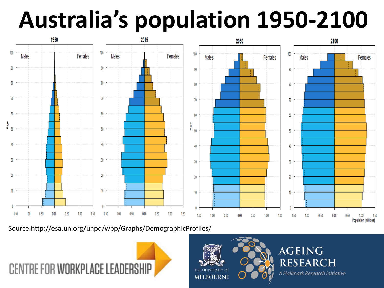### **Australia's population 1950-2100**



Source:http://esa.un.org/unpd/wpp/Graphs/DemographicProfiles/





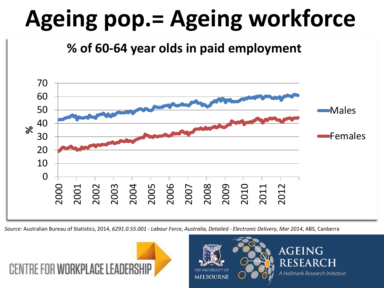# **Ageing pop.= Ageing workforce**

**% of 60-64 year olds in paid employment**



*Source:* Australian Bureau of Statistics, 2014, *6291.0.55.001 - Labour Force, Australia, Detailed - Electronic Delivery, Mar 2014*, ABS, Canberra





AGEING **RESEAR** CH A Hallmark Research Initiative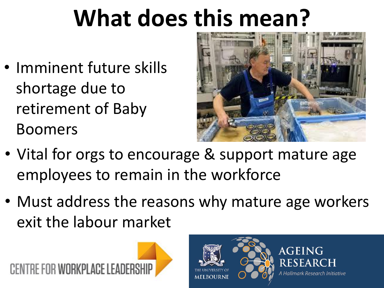# **What does this mean?**

• Imminent future skills shortage due to retirement of Baby Boomers



- Vital for orgs to encourage & support mature age employees to remain in the workforce
- Must address the reasons why mature age workers exit the labour market



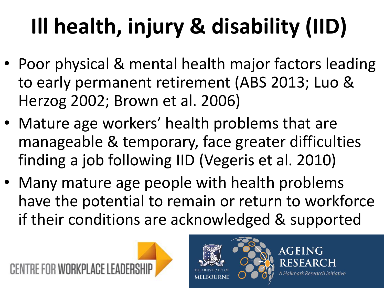# **Ill health, injury & disability (IID)**

- Poor physical & mental health major factors leading to early permanent retirement (ABS 2013; Luo & Herzog 2002; Brown et al. 2006)
- Mature age workers' health problems that are manageable & temporary, face greater difficulties finding a job following IID (Vegeris et al. 2010)
- Many mature age people with health problems have the potential to remain or return to workforce if their conditions are acknowledged & supported





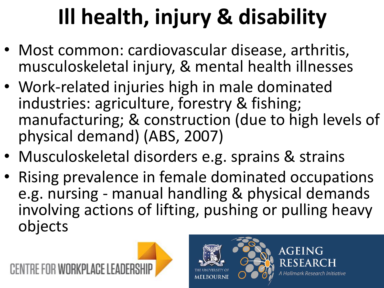# **Ill health, injury & disability**

- Most common: cardiovascular disease, arthritis, musculoskeletal injury, & mental health illnesses
- Work-related injuries high in male dominated industries: agriculture, forestry & fishing; manufacturing; & construction (due to high levels of physical demand) (ABS, 2007)
- Musculoskeletal disorders e.g. sprains & strains
- Rising prevalence in female dominated occupations e.g. nursing - manual handling & physical demands involving actions of lifting, pushing or pulling heavy objects



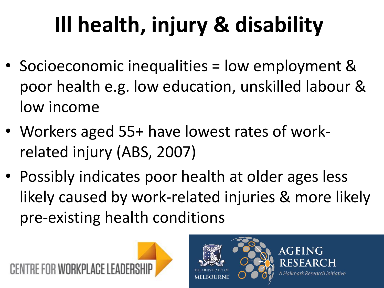# **Ill health, injury & disability**

- Socioeconomic inequalities = low employment & poor health e.g. low education, unskilled labour & low income
- Workers aged 55+ have lowest rates of workrelated injury (ABS, 2007)
- Possibly indicates poor health at older ages less likely caused by work-related injuries & more likely pre-existing health conditions



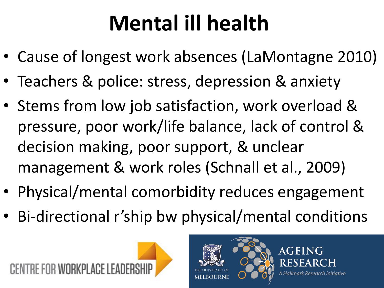### **Mental ill health**

- Cause of longest work absences (LaMontagne 2010)
- Teachers & police: stress, depression & anxiety
- Stems from low job satisfaction, work overload & pressure, poor work/life balance, lack of control & decision making, poor support, & unclear management & work roles (Schnall et al., 2009)
- Physical/mental comorbidity reduces engagement
- Bi-directional r'ship bw physical/mental conditions



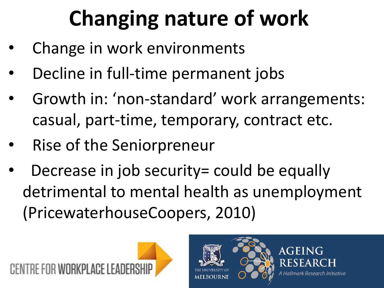# **Changing nature of work**

- Change in work environments
- Decline in full-time permanent jobs
- Growth in: 'non-standard' work arrangements: casual, part-time, temporary, contract etc.
- Rise of the Seniorpreneur
- Decrease in job security= could be equally detrimental to mental health as unemployment (PricewaterhouseCoopers, 2010)



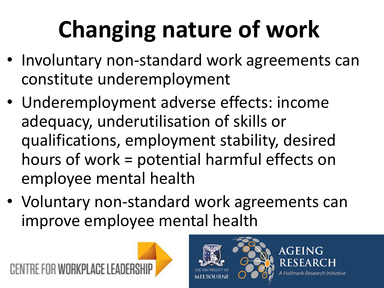# **Changing nature of work**

- Involuntary non-standard work agreements can constitute underemployment
- Underemployment adverse effects: income adequacy, underutilisation of skills or qualifications, employment stability, desired hours of work = potential harmful effects on employee mental health
- Voluntary non-standard work agreements can improve employee mental health



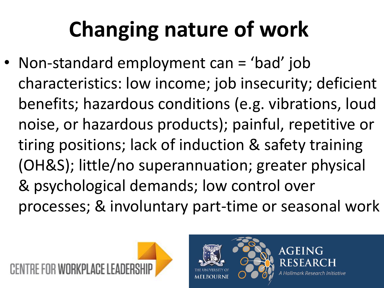### **Changing nature of work**

• Non-standard employment can = 'bad' job characteristics: low income; job insecurity; deficient benefits; hazardous conditions (e.g. vibrations, loud noise, or hazardous products); painful, repetitive or tiring positions; lack of induction & safety training (OH&S); little/no superannuation; greater physical & psychological demands; low control over processes; & involuntary part-time or seasonal work



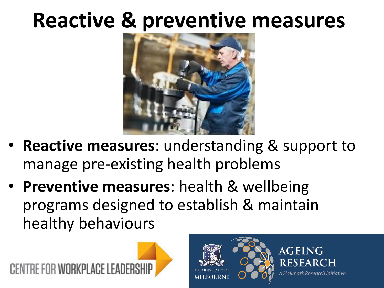#### **Reactive & preventive measures**



- **Reactive measures**: understanding & support to manage pre-existing health problems
- **Preventive measures**: health & wellbeing programs designed to establish & maintain healthy behaviours



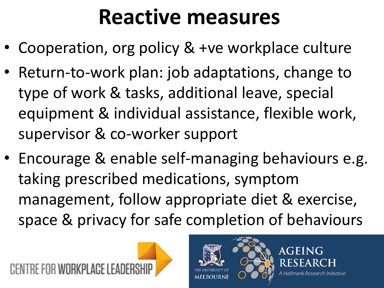#### **Reactive measures**

- Cooperation, org policy & +ve workplace culture
- Return-to-work plan: job adaptations, change to type of work & tasks, additional leave, special equipment & individual assistance, flexible work, supervisor & co-worker support
- Encourage & enable self-managing behaviours e.g. taking prescribed medications, symptom management, follow appropriate diet & exercise, space & privacy for safe completion of behaviours



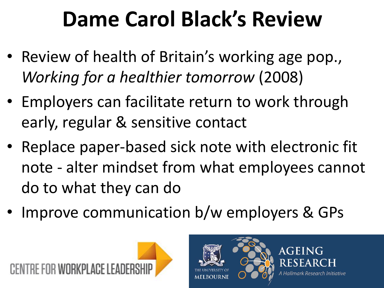### **Dame Carol Black's Review**

- Review of health of Britain's working age pop., *Working for a healthier tomorrow* (2008)
- Employers can facilitate return to work through early, regular & sensitive contact
- Replace paper-based sick note with electronic fit note - alter mindset from what employees cannot do to what they can do
- Improve communication b/w employers & GPs



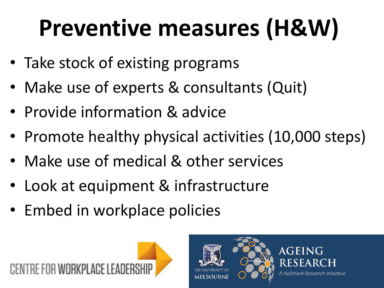# **Preventive measures (H&W)**

- Take stock of existing programs
- Make use of experts & consultants (Quit)
- Provide information & advice
- Promote healthy physical activities (10,000 steps)
- Make use of medical & other services
- Look at equipment & infrastructure
- Embed in workplace policies



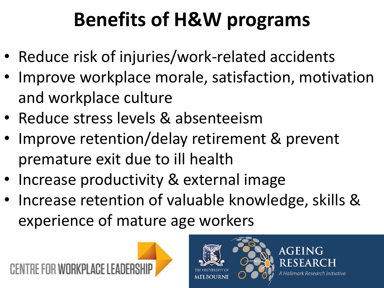#### **Benefits of H&W programs**

- Reduce risk of injuries/work-related accidents
- Improve workplace morale, satisfaction, motivation and workplace culture
- Reduce stress levels & absenteeism
- Improve retention/delay retirement & prevent premature exit due to ill health
- Increase productivity & external image
- Increase retention of valuable knowledge, skills & experience of mature age workers



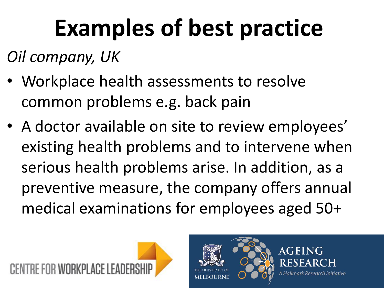# **Examples of best practice**

*Oil company, UK*

- Workplace health assessments to resolve common problems e.g. back pain
- A doctor available on site to review employees' existing health problems and to intervene when serious health problems arise. In addition, as a preventive measure, the company offers annual medical examinations for employees aged 50+



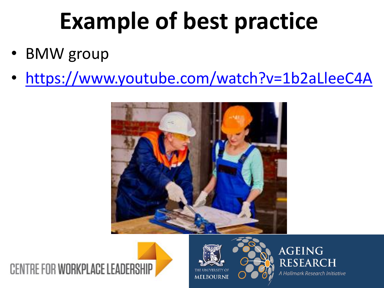### **Example of best practice**

- BMW group
- <https://www.youtube.com/watch?v=1b2aLleeC4A>









**AGEING RESEAR**  $\Gamma$ H A Hallmark Research Initiative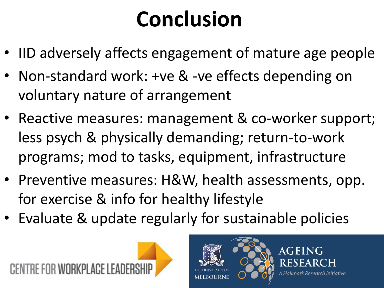### **Conclusion**

- IID adversely affects engagement of mature age people
- Non-standard work: +ve & -ve effects depending on voluntary nature of arrangement
- Reactive measures: management & co-worker support; less psych & physically demanding; return-to-work programs; mod to tasks, equipment, infrastructure
- Preventive measures: H&W, health assessments, opp. for exercise & info for healthy lifestyle
- Evaluate & update regularly for sustainable policies